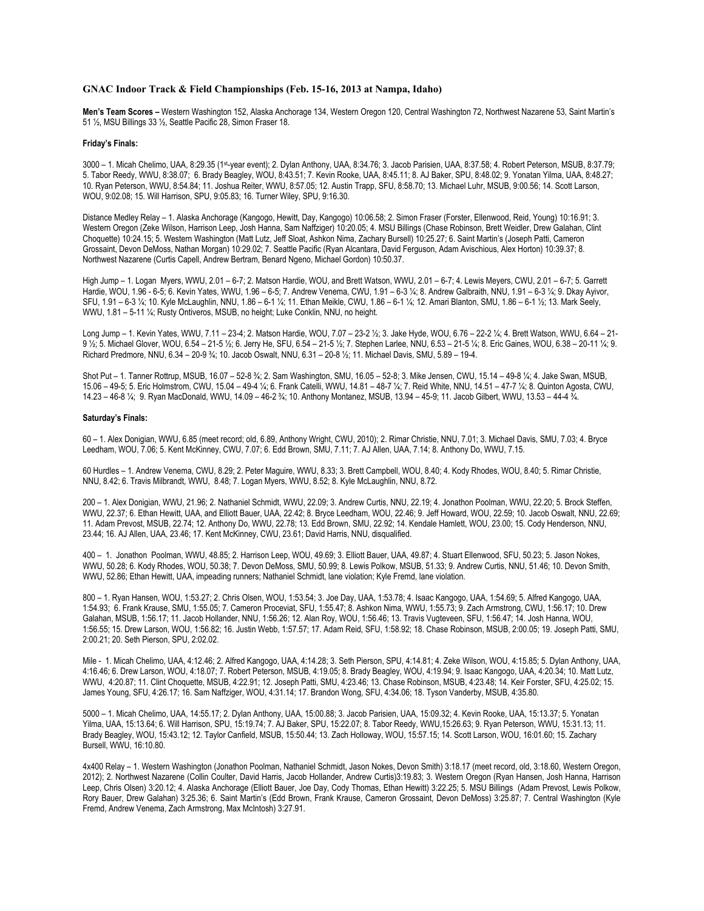## **GNAC Indoor Track & Field Championships (Feb. 15-16, 2013 at Nampa, Idaho)**

**Men's Team Scores –** Western Washington 152, Alaska Anchorage 134, Western Oregon 120, Central Washington 72, Northwest Nazarene 53, Saint Martin's 51 ½, MSU Billings 33 ½, Seattle Pacific 28, Simon Fraser 18.

## **Friday's Finals:**

3000 – 1. Micah Chelimo, UAA, 8:29.35 (1st-year event); 2. Dylan Anthony, UAA, 8:34.76; 3. Jacob Parisien, UAA, 8:37.58; 4. Robert Peterson, MSUB, 8:37.79; 5. Tabor Reedy, WWU, 8:38.07; 6. Brady Beagley, WOU, 8:43.51; 7. Kevin Rooke, UAA, 8:45.11; 8. AJ Baker, SPU, 8:48.02; 9. Yonatan Yilma, UAA, 8:48.27; 10. Ryan Peterson, WWU, 8:54.84; 11. Joshua Reiter, WWU, 8:57.05; 12. Austin Trapp, SFU, 8:58.70; 13. Michael Luhr, MSUB, 9:00.56; 14. Scott Larson, WOU, 9:02.08; 15. Will Harrison, SPU, 9:05.83; 16. Turner Wiley, SPU, 9:16.30.

Distance Medley Relay – 1. Alaska Anchorage (Kangogo, Hewitt, Day, Kangogo) 10:06.58; 2. Simon Fraser (Forster, Ellenwood, Reid, Young) 10:16.91; 3. Western Oregon (Zeke Wilson, Harrison Leep, Josh Hanna, Sam Naffziger) 10:20.05; 4. MSU Billings (Chase Robinson, Brett Weidler, Drew Galahan, Clint Choquette) 10:24.15; 5. Western Washington (Matt Lutz, Jeff Sloat, Ashkon Nima, Zachary Bursell) 10:25.27; 6. Saint Martin's (Joseph Patti, Cameron Grossaint, Devon DeMoss, Nathan Morgan) 10:29.02; 7. Seattle Pacific (Ryan Alcantara, David Ferguson, Adam Avischious, Alex Horton) 10:39.37; 8. Northwest Nazarene (Curtis Capell, Andrew Bertram, Benard Ngeno, Michael Gordon) 10:50.37.

High Jump – 1. Logan Myers, WWU, 2.01 – 6-7; 2. Matson Hardie, WOU, and Brett Watson, WWU, 2.01 – 6-7; 4. Lewis Meyers, CWU, 2.01 – 6-7; 5. Garrett Hardie, WOU, 1.96 - 6-5; 6. Kevin Yates, WWU, 1.96 – 6-5; 7. Andrew Venema, CWU, 1.91 – 6-3 ¼; 8. Andrew Galbraith, NNU, 1.91 – 6-3 ¼; 9. Dkay Ayivor, SFU, 1.91 – 6-3 ¼; 10. Kyle McLaughlin, NNU, 1.86 – 6-1 ¼; 11. Ethan Meikle, CWU, 1.86 – 6-1 ¼; 12. Amari Blanton, SMU, 1.86 – 6-1 ½; 13. Mark Seely, WWU, 1.81 – 5-11 ¼; Rusty Ontiveros, MSUB, no height; Luke Conklin, NNU, no height.

Long Jump – 1. Kevin Yates, WWU, 7.11 – 23-4; 2. Matson Hardie, WOU, 7.07 – 23-2 ½; 3. Jake Hyde, WOU, 6.76 – 22-2 ¼; 4. Brett Watson, WWU, 6.64 – 21- 9 ½; 5. Michael Glover, WOU, 6.54 – 21-5 ½; 6. Jerry He, SFU, 6.54 – 21-5 ½; 7. Stephen Larlee, NNU, 6.53 – 21-5 ¼; 8. Eric Gaines, WOU, 6.38 – 20-11 ¼; 9. Richard Predmore, NNU, 6.34 – 20-9 ¾; 10. Jacob Oswalt, NNU, 6.31 – 20-8 ½; 11. Michael Davis, SMU, 5.89 – 19-4.

Shot Put – 1. Tanner Rottrup, MSUB, 16.07 – 52-8 ¾; 2. Sam Washington, SMU, 16.05 – 52-8; 3. Mike Jensen, CWU, 15.14 – 49-8 ¼; 4. Jake Swan, MSUB, 15.06 – 49-5; 5. Eric Holmstrom, CWU, 15.04 – 49-4 ¼; 6. Frank Catelli, WWU, 14.81 – 48-7 ¼; 7. Reid White, NNU, 14.51 – 47-7 ¼; 8. Quinton Agosta, CWU, 14.23 – 46-8 ¼; 9. Ryan MacDonald, WWU, 14.09 – 46-2 ¾; 10. Anthony Montanez, MSUB, 13.94 – 45-9; 11. Jacob Gilbert, WWU, 13.53 – 44-4 ¾.

## **Saturday's Finals:**

60 – 1. Alex Donigian, WWU, 6.85 (meet record; old, 6.89, Anthony Wright, CWU, 2010); 2. Rimar Christie, NNU, 7.01; 3. Michael Davis, SMU, 7.03; 4. Bryce Leedham, WOU, 7.06; 5. Kent McKinney, CWU, 7.07; 6. Edd Brown, SMU, 7.11; 7. AJ Allen, UAA, 7.14; 8. Anthony Do, WWU, 7.15.

60 Hurdles – 1. Andrew Venema, CWU, 8.29; 2. Peter Maguire, WWU, 8.33; 3. Brett Campbell, WOU, 8.40; 4. Kody Rhodes, WOU, 8.40; 5. Rimar Christie, NNU, 8.42; 6. Travis Milbrandt, WWU, 8.48; 7. Logan Myers, WWU, 8.52; 8. Kyle McLaughlin, NNU, 8.72.

200 – 1. Alex Donigian, WWU, 21.96; 2. Nathaniel Schmidt, WWU, 22.09; 3. Andrew Curtis, NNU, 22.19; 4. Jonathon Poolman, WWU, 22.20; 5. Brock Steffen, WWU, 22.37; 6. Ethan Hewitt, UAA, and Elliott Bauer, UAA, 22.42; 8. Bryce Leedham, WOU, 22.46; 9. Jeff Howard, WOU, 22.59; 10. Jacob Oswalt, NNU, 22.69; 11. Adam Prevost, MSUB, 22.74; 12. Anthony Do, WWU, 22.78; 13. Edd Brown, SMU, 22.92; 14. Kendale Hamlett, WOU, 23.00; 15. Cody Henderson, NNU, 23.44; 16. AJ Allen, UAA, 23.46; 17. Kent McKinney, CWU, 23.61; David Harris, NNU, disqualified.

400 – 1. Jonathon Poolman, WWU, 48.85; 2. Harrison Leep, WOU, 49.69; 3. Elliott Bauer, UAA, 49.87; 4. Stuart Ellenwood, SFU, 50.23; 5. Jason Nokes, WWU, 50.28; 6. Kody Rhodes, WOU, 50.38; 7. Devon DeMoss, SMU, 50.99; 8. Lewis Polkow, MSUB, 51.33; 9. Andrew Curtis, NNU, 51.46; 10. Devon Smith, WWU, 52.86; Ethan Hewitt, UAA, impeading runners; Nathaniel Schmidt, lane violation; Kyle Fremd, lane violation.

800 – 1. Ryan Hansen, WOU, 1:53.27; 2. Chris Olsen, WOU, 1:53.54; 3. Joe Day, UAA, 1:53.78; 4. Isaac Kangogo, UAA, 1:54.69; 5. Alfred Kangogo, UAA, 1:54.93; 6. Frank Krause, SMU, 1:55.05; 7. Cameron Proceviat, SFU, 1:55.47; 8. Ashkon Nima, WWU, 1:55.73; 9. Zach Armstrong, CWU, 1:56.17; 10. Drew Galahan, MSUB, 1:56.17; 11. Jacob Hollander, NNU, 1:56.26; 12. Alan Roy, WOU, 1:56.46; 13. Travis Vugteveen, SFU, 1:56.47; 14. Josh Hanna, WOU, 1:56.55; 15. Drew Larson, WOU, 1:56.82; 16. Justin Webb, 1:57.57; 17. Adam Reid, SFU, 1:58.92; 18. Chase Robinson, MSUB, 2:00.05; 19. Joseph Patti, SMU, 2:00.21; 20. Seth Pierson, SPU, 2:02.02.

Mile - 1. Micah Chelimo, UAA, 4:12.46; 2. Alfred Kangogo, UAA, 4:14.28; 3. Seth Pierson, SPU, 4:14.81; 4. Zeke Wilson, WOU, 4:15.85; 5. Dylan Anthony, UAA, 4:16.46; 6. Drew Larson, WOU, 4:18.07; 7. Robert Peterson, MSUB, 4:19.05; 8. Brady Beagley, WOU, 4:19.94; 9. Isaac Kangogo, UAA, 4:20.34; 10. Matt Lutz, WWU, 4:20.87; 11. Clint Choquette, MSUB, 4:22.91; 12. Joseph Patti, SMU, 4:23.46; 13. Chase Robinson, MSUB, 4:23.48; 14. Keir Forster, SFU, 4:25.02; 15. James Young, SFU, 4:26.17; 16. Sam Naffziger, WOU, 4:31.14; 17. Brandon Wong, SFU, 4:34.06; 18. Tyson Vanderby, MSUB, 4:35.80.

5000 – 1. Micah Chelimo, UAA, 14:55.17; 2. Dylan Anthony, UAA, 15:00.88; 3. Jacob Parisien, UAA, 15:09.32; 4. Kevin Rooke, UAA, 15:13.37; 5. Yonatan Yilma, UAA, 15:13.64; 6. Will Harrison, SPU, 15:19.74; 7. AJ Baker, SPU, 15:22.07; 8. Tabor Reedy, WWU,15:26.63; 9. Ryan Peterson, WWU, 15:31.13; 11. Brady Beagley, WOU, 15:43.12; 12. Taylor Canfield, MSUB, 15:50.44; 13. Zach Holloway, WOU, 15:57.15; 14. Scott Larson, WOU, 16:01.60; 15. Zachary Bursell, WWU, 16:10.80.

4x400 Relay – 1. Western Washington (Jonathon Poolman, Nathaniel Schmidt, Jason Nokes, Devon Smith) 3:18.17 (meet record, old, 3:18.60, Western Oregon, 2012); 2. Northwest Nazarene (Collin Coulter, David Harris, Jacob Hollander, Andrew Curtis)3:19.83; 3. Western Oregon (Ryan Hansen, Josh Hanna, Harrison Leep, Chris Olsen) 3:20.12; 4. Alaska Anchorage (Elliott Bauer, Joe Day, Cody Thomas, Ethan Hewitt) 3:22.25; 5. MSU Billings (Adam Prevost, Lewis Polkow, Rory Bauer, Drew Galahan) 3:25.36; 6. Saint Martin's (Edd Brown, Frank Krause, Cameron Grossaint, Devon DeMoss) 3:25.87; 7. Central Washington (Kyle Fremd, Andrew Venema, Zach Armstrong, Max McIntosh) 3:27.91.